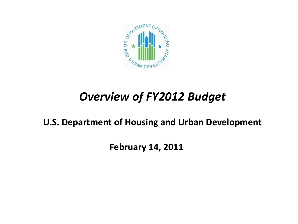

# *Overview of FY2012 Budget*

**U.S. Department of Housing and Urban Development**

**February 14, 2011**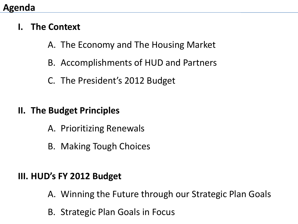### **Agenda**

- **I. The Context**
	- A. The Economy and The Housing Market
	- B. Accomplishments of HUD and Partners
	- C. The President's 2012 Budget

## **II. The Budget Principles**

- A. Prioritizing Renewals
- B. Making Tough Choices

# **III. HUD's FY 2012 Budget**

- A. Winning the Future through our Strategic Plan Goals
- B. Strategic Plan Goals in Focus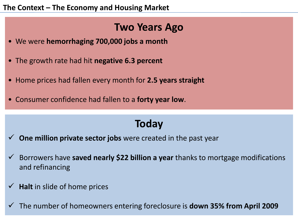# **Two Years Ago**

- We were **hemorrhaging 700,000 jobs a month**
- The growth rate had hit **negative 6.3 percent**
- Home prices had fallen every month for **2.5 years straight**
- Consumer confidence had fallen to a **forty year low**.

# **Today**

- **One million private sector jobs** were created in the past year
- Borrowers have **saved nearly \$22 billion a year** thanks to mortgage modifications and refinancing
- **Halt** in slide of home prices
- The number of homeowners entering foreclosure is **down 35% from April 2009**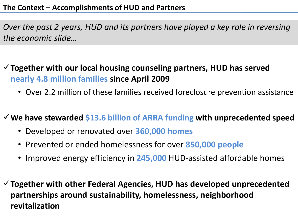*Over the past 2 years, HUD and its partners have played a key role in reversing the economic slide…*

**Together with our local housing counseling partners, HUD has served nearly 4.8 million families since April 2009**

• Over 2.2 million of these families received foreclosure prevention assistance

**We have stewarded \$13.6 billion of ARRA funding with unprecedented speed**

- Developed or renovated over **360,000 homes**
- Prevented or ended homelessness for over **850,000 people**
- Improved energy efficiency in **245,000** HUD-assisted affordable homes
- **Together with other Federal Agencies, HUD has developed unprecedented partnerships around sustainability, homelessness, neighborhood revitalization**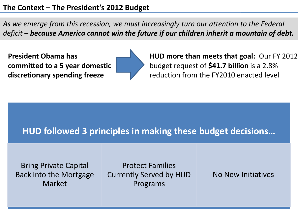*As we emerge from this recession, we must increasingly turn our attention to the Federal deficit – because America cannot win the future if our children inherit a mountain of debt.*

**President Obama has committed to a 5 year domestic discretionary spending freeze**



**HUD more than meets that goal:** Our FY 2012 budget request of **\$41.7 billion** is a 2.8% reduction from the FY2010 enacted level

### **HUD followed 3 principles in making these budget decisions…**

Bring Private Capital Back into the Mortgage Market

Protect Families Currently Served by HUD Programs

No New Initiatives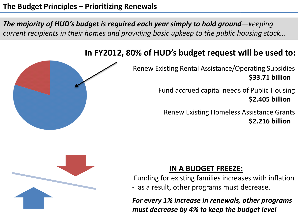#### **The Budget Principles – Prioritizing Renewals**

*The majority of HUD's budget is required each year simply to hold ground—keeping current recipients in their homes and providing basic upkeep to the public housing stock…*

#### **In FY2012, 80% of HUD's budget request will be used to:**



Fund accrued capital needs of Public Housing **\$2.405 billion**

Renew Existing Homeless Assistance Grants **\$2.216 billion**

#### **IN A BUDGET FREEZE:**

Funding for existing families increases with inflation - as a result, other programs must decrease.

*For every 1% increase in renewals, other programs must decrease by 4% to keep the budget level*



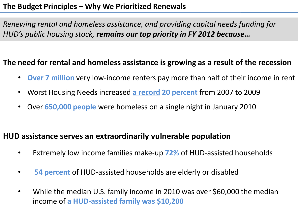#### **The Budget Principles – Why We Prioritized Renewals**

*Renewing rental and homeless assistance, and providing capital needs funding for HUD's public housing stock, remains our top priority in FY 2012 because…*

#### **The need for rental and homeless assistance is growing as a result of the recession**

- **Over 7 million** very low-income renters pay more than half of their income in rent
- Worst Housing Needs increased **a record 20 percent** from 2007 to 2009
- Over **650,000 people** were homeless on a single night in January 2010

#### **HUD assistance serves an extraordinarily vulnerable population**

- Extremely low income families make-up **72%** of HUD-assisted households
- **54 percent** of HUD-assisted households are elderly or disabled
- While the median U.S. family income in 2010 was over \$60,000 the median income of **a HUD-assisted family was \$10,200**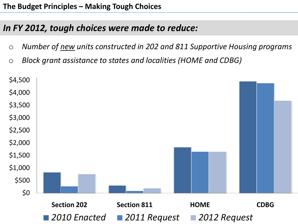# *In FY 2012, tough choices were made to reduce:*

- o *Number of new units constructed in 202 and 811 Supportive Housing programs*
- o *Block grant assistance to states and localities (HOME and CDBG)*

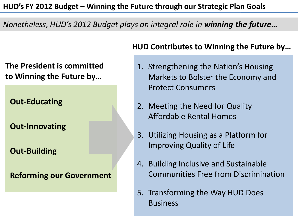#### *Nonetheless, HUD's 2012 Budget plays an integral role in winning the future…*

**The President is committed to Winning the Future by…**

**Out-Educating**

**Out-Innovating**

**Out-Building**

**Reforming our Government**

#### **HUD Contributes to Winning the Future by…**

- 1. Strengthening the Nation's Housing Markets to Bolster the Economy and Protect Consumers
- 2. Meeting the Need for Quality Affordable Rental Homes
- 3. Utilizing Housing as a Platform for Improving Quality of Life
- 4. Building Inclusive and Sustainable Communities Free from Discrimination
- 5. Transforming the Way HUD Does Business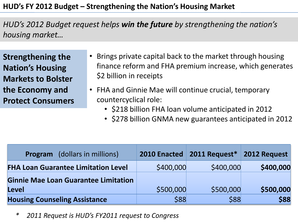*HUD's 2012 Budget request helps win the future by strengthening the nation's housing market…*

**Strengthening the Nation's Housing Markets to Bolster the Economy and Protect Consumers**

- Brings private capital back to the market through housing finance reform and FHA premium increase, which generates \$2 billion in receipts
- FHA and Ginnie Mae will continue crucial, temporary countercyclical role:
	- \$218 billion FHA loan volume anticipated in 2012
	- \$278 billion GNMA new guarantees anticipated in 2012

| <b>Program</b> (dollars in millions)        |           | 2010 Enacted   2011 Request*   2012 Request |           |
|---------------------------------------------|-----------|---------------------------------------------|-----------|
| <b>FHA Loan Guarantee Limitation Level</b>  | \$400,000 | \$400,000                                   | \$400,000 |
| <b>Ginnie Mae Loan Guarantee Limitation</b> |           |                                             |           |
| Level                                       | \$500,000 | \$500,000                                   | \$500,000 |
| <b>Housing Counseling Assistance</b>        | \$88      | \$88                                        | \$88      |

*\* 2011 Request is HUD's FY2011 request to Congress*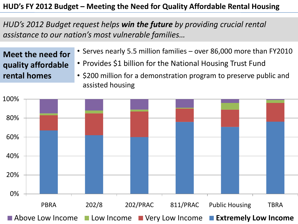#### **HUD's FY 2012 Budget – Meeting the Need for Quality Affordable Rental Housing**

*HUD's 2012 Budget request helps win the future by providing crucial rental assistance to our nation's most vulnerable families…*

**Meet the need for quality affordable rental homes**

- Serves nearly 5.5 million families over 86,000 more than FY2010
- Provides \$1 billion for the National Housing Trust Fund
- \$200 million for a demonstration program to preserve public and assisted housing

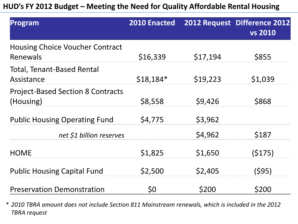**HUD's FY 2012 Budget – Meeting the Need for Quality Affordable Rental Housing**

| Program                                               | <b>2010 Enacted</b> |          | 2012 Request Difference 2012<br><b>vs 2010</b> |
|-------------------------------------------------------|---------------------|----------|------------------------------------------------|
| <b>Housing Choice Voucher Contract</b><br>Renewals    | \$16,339            | \$17,194 | \$855                                          |
| <b>Total, Tenant-Based Rental</b><br>Assistance       | $$18,184*$          | \$19,223 | \$1,039                                        |
| <b>Project-Based Section 8 Contracts</b><br>(Housing) | \$8,558             | \$9,426  | \$868                                          |
| <b>Public Housing Operating Fund</b>                  | \$4,775             | \$3,962  |                                                |
| net \$1 billion reserves                              |                     | \$4,962  | \$187                                          |
| <b>HOME</b>                                           | \$1,825             | \$1,650  | (5175)                                         |
| <b>Public Housing Capital Fund</b>                    | \$2,500             | \$2,405  | (595)                                          |
| <b>Preservation Demonstration</b>                     | \$0                 | \$200    | <b>\$200</b>                                   |

*\* 2010 TBRA amount does not include Section 811 Mainstream renewals, which is included in the 2012 TBRA request*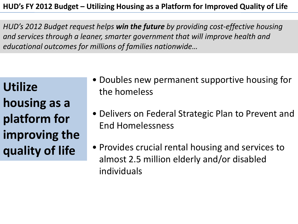#### **HUD's FY 2012 Budget – Utilizing Housing as a Platform for Improved Quality of Life**

*HUD's 2012 Budget request helps win the future by providing cost-effective housing and services through a leaner, smarter government that will improve health and educational outcomes for millions of families nationwide…*

**Utilize housing as a platform for improving the quality of life**

- Doubles new permanent supportive housing for the homeless
- Delivers on Federal Strategic Plan to Prevent and End Homelessness
- Provides crucial rental housing and services to almost 2.5 million elderly and/or disabled individuals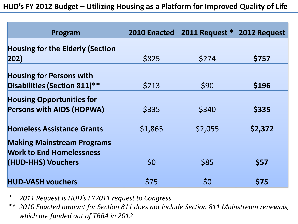| Program                                                              | 2010 Enacted | 2011 Request * | 2012 Request |
|----------------------------------------------------------------------|--------------|----------------|--------------|
| <b>Housing for the Elderly (Section</b>                              |              |                |              |
| $ 202\rangle$                                                        | \$825        | \$274          | \$757        |
| <b>Housing for Persons with</b><br>Disabilities (Section 811)**      | \$213        | \$90           | \$196        |
| <b>Housing Opportunities for</b><br><b>Persons with AIDS (HOPWA)</b> | \$335        | \$340          | \$335        |
| <b>Homeless Assistance Grants</b>                                    | \$1,865      | \$2,055        | \$2,372      |
| <b>Making Mainstream Programs</b><br><b>Work to End Homelessness</b> |              |                |              |
| (HUD-HHS) Vouchers                                                   | \$0          | \$85           | \$57         |
| <b>HUD-VASH vouchers</b>                                             | \$75         | \$0            | <b>\$75</b>  |

- *\* 2011 Request is HUD's FY2011 request to Congress*
- *\*\* 2010 Enacted amount for Section 811 does not include Section 811 Mainstream renewals, which are funded out of TBRA in 2012*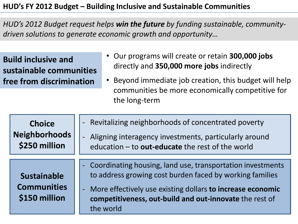#### **HUD's FY 2012 Budget – Building Inclusive and Sustainable Communities**

*HUD's 2012 Budget request helps win the future by funding sustainable, communitydriven solutions to generate economic growth and opportunity…*

**Build inclusive and sustainable communities free from discrimination**

- Our programs will create or retain **300,000 jobs** directly and **350,000 more jobs** indirectly
- Beyond immediate job creation, this budget will help communities be more economically competitive for the long-term

| <b>Choice</b>                                             | - Revitalizing neighborhoods of concentrated poverty                                                                                                                                                                                                                             |
|-----------------------------------------------------------|----------------------------------------------------------------------------------------------------------------------------------------------------------------------------------------------------------------------------------------------------------------------------------|
| <b>Neighborhoods</b>                                      | Aligning interagency investments, particularly around                                                                                                                                                                                                                            |
| \$250 million                                             | education - to out-educate the rest of the world                                                                                                                                                                                                                                 |
| <b>Sustainable</b><br><b>Communities</b><br>\$150 million | - Coordinating housing, land use, transportation investments<br>to address growing cost burden faced by working families<br>More effectively use existing dollars to increase economic<br>$\blacksquare$<br>competitiveness, out-build and out-innovate the rest of<br>the world |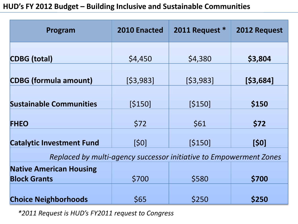#### **HUD's FY 2012 Budget – Building Inclusive and Sustainable Communities**

| Program                          | 2010 Enacted | 2011 Request * | 2012 Request |
|----------------------------------|--------------|----------------|--------------|
| <b>CDBG</b> (total)              | \$4,450      | \$4,380        | \$3,804      |
| <b>CDBG (formula amount)</b>     | [\$3,983]    | [\$3,983]      | [\$3,684]    |
| <b>Sustainable Communities</b>   | [\$150]      | [\$150]        | \$150        |
| <b>FHEO</b>                      | \$72         | \$61           | \$72         |
| <b>Catalytic Investment Fund</b> | [\$0]        | [\$150]        | [\$0]        |

*Replaced by multi-agency successor initiative to Empowerment Zones* 

| <b>Native American Housing</b> |              |              |              |
|--------------------------------|--------------|--------------|--------------|
| <b>Block Grants</b>            | <b>\$700</b> | <b>\$580</b> | <b>\$700</b> |
|                                |              |              |              |
| <b>Choice Neighborhoods</b>    | <b>S65</b>   | <b>S250</b>  | <b>\$250</b> |

*\*2011 Request is HUD's FY2011 request to Congress*